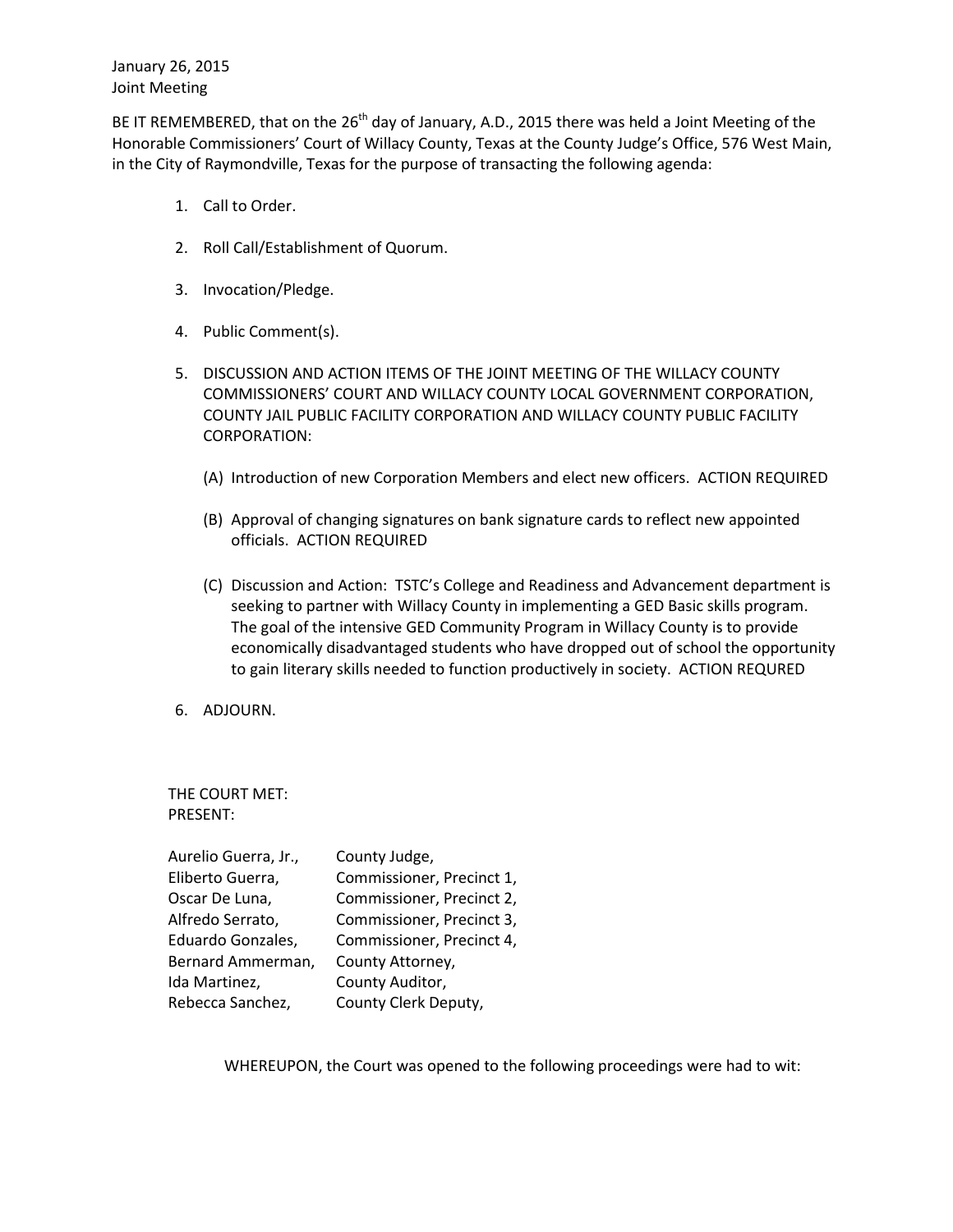January 26, 2015 Joint Meeting

BE IT REMEMBERED, that on the 26<sup>th</sup> day of January, A.D., 2015 there was held a Joint Meeting of the Honorable Commissioners' Court of Willacy County, Texas at the County Judge's Office, 576 West Main, in the City of Raymondville, Texas for the purpose of transacting the following agenda:

- 1. Call to Order.
- 2. Roll Call/Establishment of Quorum.
- 3. Invocation/Pledge.
- 4. Public Comment(s).
- 5. DISCUSSION AND ACTION ITEMS OF THE JOINT MEETING OF THE WILLACY COUNTY COMMISSIONERS' COURT AND WILLACY COUNTY LOCAL GOVERNMENT CORPORATION, COUNTY JAIL PUBLIC FACILITY CORPORATION AND WILLACY COUNTY PUBLIC FACILITY CORPORATION:
	- (A) Introduction of new Corporation Members and elect new officers. ACTION REQUIRED
	- (B) Approval of changing signatures on bank signature cards to reflect new appointed officials. ACTION REQUIRED
	- (C) Discussion and Action: TSTC's College and Readiness and Advancement department is seeking to partner with Willacy County in implementing a GED Basic skills program. The goal of the intensive GED Community Program in Willacy County is to provide economically disadvantaged students who have dropped out of school the opportunity to gain literary skills needed to function productively in society. ACTION REQURED
- 6. ADJOURN.

THE COURT MET: PRESENT:

| Aurelio Guerra, Jr., | County Judge,             |
|----------------------|---------------------------|
| Eliberto Guerra,     | Commissioner, Precinct 1, |
| Oscar De Luna,       | Commissioner, Precinct 2, |
| Alfredo Serrato,     | Commissioner, Precinct 3, |
| Eduardo Gonzales,    | Commissioner, Precinct 4, |
| Bernard Ammerman,    | County Attorney,          |
| Ida Martinez,        | County Auditor,           |
| Rebecca Sanchez,     | County Clerk Deputy,      |

WHEREUPON, the Court was opened to the following proceedings were had to wit: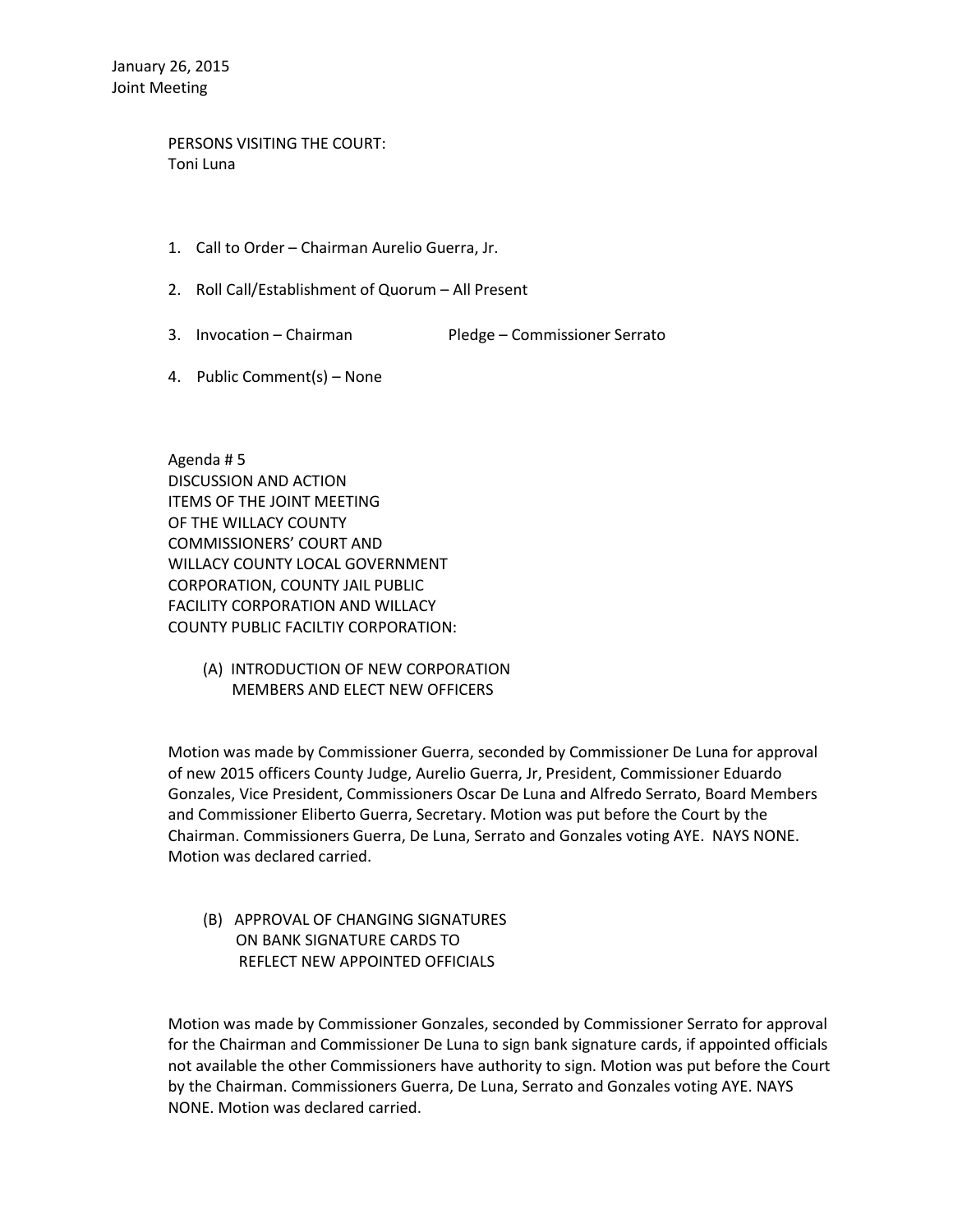PERSONS VISITING THE COURT: Toni Luna

- 1. Call to Order Chairman Aurelio Guerra, Jr.
- 2. Roll Call/Establishment of Quorum All Present
- 3. Invocation Chairman Pledge Commissioner Serrato
- 4. Public Comment(s) None

Agenda # 5 DISCUSSION AND ACTION ITEMS OF THE JOINT MEETING OF THE WILLACY COUNTY COMMISSIONERS' COURT AND WILLACY COUNTY LOCAL GOVERNMENT CORPORATION, COUNTY JAIL PUBLIC FACILITY CORPORATION AND WILLACY COUNTY PUBLIC FACILTIY CORPORATION:

> (A) INTRODUCTION OF NEW CORPORATION MEMBERS AND ELECT NEW OFFICERS

Motion was made by Commissioner Guerra, seconded by Commissioner De Luna for approval of new 2015 officers County Judge, Aurelio Guerra, Jr, President, Commissioner Eduardo Gonzales, Vice President, Commissioners Oscar De Luna and Alfredo Serrato, Board Members and Commissioner Eliberto Guerra, Secretary. Motion was put before the Court by the Chairman. Commissioners Guerra, De Luna, Serrato and Gonzales voting AYE. NAYS NONE. Motion was declared carried.

 (B) APPROVAL OF CHANGING SIGNATURES ON BANK SIGNATURE CARDS TO REFLECT NEW APPOINTED OFFICIALS

Motion was made by Commissioner Gonzales, seconded by Commissioner Serrato for approval for the Chairman and Commissioner De Luna to sign bank signature cards, if appointed officials not available the other Commissioners have authority to sign. Motion was put before the Court by the Chairman. Commissioners Guerra, De Luna, Serrato and Gonzales voting AYE. NAYS NONE. Motion was declared carried.